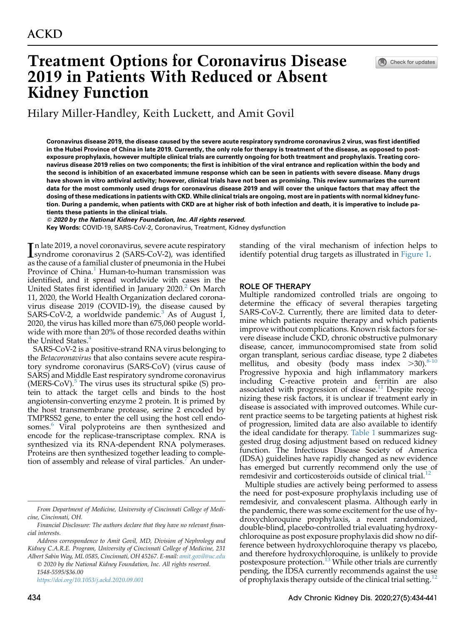# Treatment Options for Coronavirus Disease 2019 in Patients With Reduced or Absent Kidney Function

Check for updates

Hilary Miller-Handley, Keith Luckett, and Amit Govil

Coronavirus disease 2019, the disease caused by the severe acute respiratory syndrome coronavirus 2 virus, was first identified in the Hubei Province of China in late 2019. Currently, the only role for therapy is treatment of the disease, as opposed to postexposure prophylaxis, however multiple clinical trials are currently ongoing for both treatment and prophylaxis. Treating coronavirus disease 2019 relies on two components; the first is inhibition of the viral entrance and replication within the body and the second is inhibition of an exacerbated immune response which can be seen in patients with severe disease. Many drugs have shown in vitro antiviral activity; however, clinical trials have not been as promising. This review summarizes the current data for the most commonly used drugs for coronavirus disease 2019 and will cover the unique factors that may affect the dosing of these medications in patients with CKD. While clinical trials are ongoing, most are in patients with normal kidney function. During a pandemic, when patients with CKD are at higher risk of both infection and death, it is imperative to include patients these patients in the clinical trials.

© 2020 by the National Kidney Foundation, Inc. All rights reserved.

Key Words: COVID-19, SARS-CoV-2, Coronavirus, Treatment, Kidney dysfunction

In late 2019, a novel coronavirus, severe acute respiratory<br>
syndrome coronavirus 2 (SARS-CoV-2), was identified<br>
as the cause of a familial cluster of preumonia in the Hubei syndrome coronavirus 2 (SARS-CoV-2), was identified as the cause of a familial cluster of pneumonia in the Hubei Province of China.<sup>[1](#page-5-0)</sup> Human-to-human transmission was identified, and it spread worldwide with cases in the United States first identified in January [2](#page-5-1)020.<sup>2</sup> On March 11, 2020, the World Health Organization declared coronavirus disease 2019 (COVID-19), the disease caused by SARS-CoV-2, a worldwide pandemic. $3$  As of August 1, 2020, the virus has killed more than 675,060 people worldwide with more than 20% of those recorded deaths within the United States.<sup>[4](#page-5-3)</sup>

SARS-CoV-2 is a positive-strand RNA virus belonging to the Betacoronavirus that also contains severe acute respiratory syndrome coronavirus (SARS-CoV) (virus cause of SARS) and Middle East respiratory syndrome coronavirus  $(MERS-CoV)$ . The virus uses its structural spike  $(S)$  protein to attack the target cells and binds to the host angiotensin-converting enzyme 2 protein. It is primed by the host transmembrane protease, serine 2 encoded by TMPRSS2 gene, to enter the cell using the host cell endo-somes.<sup>[6](#page-5-5)</sup> Viral polyproteins are then synthesized and encode for the replicase-transcriptase complex. RNA is synthesized via its RNA-dependent RNA polymerases. Proteins are then synthesized together leading to completion of assembly and release of viral particles. An under-

Address correspondence to Amit Govil, MD, Division of Nephrology and Kidney C.A.R.E. Program, University of Cincinnati College of Medicine, 231 Albert Sabin Way, ML 0585, Cincinnati, OH 45267. E-mail: [amit.govil@uc.edu](mailto:amit.govil@uc.edu)

 2020 by the National Kidney Foundation, Inc. All rights reserved. 1548-5595/\$36.00

<https://doi.org/10.1053/j.ackd.2020.09.001>

standing of the viral mechanism of infection helps to identify potential drug targets as illustrated in [Figure 1.](#page-2-0)

# ROLE OF THERAPY

Multiple randomized controlled trials are ongoing to determine the efficacy of several therapies targeting SARS-CoV-2. Currently, there are limited data to determine which patients require therapy and which patients improve without complications. Known risk factors for severe disease include CKD, chronic obstructive pulmonary disease, cancer, immunocompromised state from solid organ transplant, serious cardiac disease, type 2 diabetes mellitus, and obesity (body mass index  $>30$ ).<sup>[8-10](#page-5-7)</sup> Progressive hypoxia and high inflammatory markers including C-reactive protein and ferritin are also associated with progression of disease.<sup>[11](#page-5-8)</sup> Despite recognizing these risk factors, it is unclear if treatment early in disease is associated with improved outcomes. While current practice seems to be targeting patients at highest risk of progression, limited data are also available to identify the ideal candidate for therapy. [Table 1](#page-2-1) summarizes suggested drug dosing adjustment based on reduced kidney function. The Infectious Disease Society of America (IDSA) guidelines have rapidly changed as new evidence has emerged but currently recommend only the use of remdesivir and corticosteroids outside of clinical trial. $^{12}$  $^{12}$  $^{12}$ 

Multiple studies are actively being performed to assess the need for post-exposure prophylaxis including use of remdesivir, and convalescent plasma. Although early in the pandemic, there was some excitement for the use of hydroxychloroquine prophylaxis, a recent randomized, double-blind, placebo-controlled trial evaluating hydroxychloroquine as post exposure prophylaxis did show no difference between hydroxychloroquine therapy vs placebo, and therefore hydroxychloroquine, is unlikely to provide postexposure protection.<sup>[13](#page-5-10)</sup> While other trials are currently pending, the IDSA currently recommends against the use of prophylaxis therapy outside of the clinical trial setting.<sup>[12](#page-5-9)</sup>

From Department of Medicine, University of Cincinnati College of Medicine, Cincinnati, OH.

Financial Disclosure: The authors declare that they have no relevant financial interests.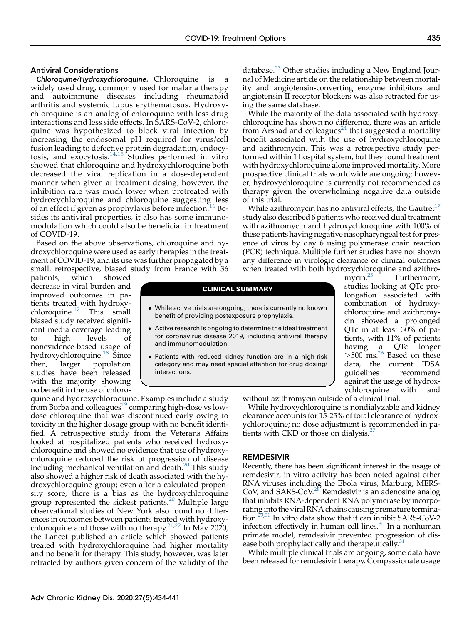# Antiviral Considerations

Chloroquine/Hydroxychloroquine. Chloroquine is a widely used drug, commonly used for malaria therapy and autoimmune diseases including rheumatoid arthritis and systemic lupus erythematosus. Hydroxychloroquine is an analog of chloroquine with less drug interactions and less side effects. In SARS-CoV-2, chloroquine was hypothesized to block viral infection by increasing the endosomal pH required for virus/cell fusion leading to defective protein degradation, endocytosis, and exocytosis. $14,15$  $14,15$  $14,15$  Studies performed in vitro showed that chloroquine and hydroxychloroquine both decreased the viral replication in a dose-dependent manner when given at treatment dosing; however, the inhibition rate was much lower when pretreated with hydroxychloroquine and chloroquine suggesting less of an effect if given as prophylaxis before infection.<sup>[16](#page-5-13)</sup> Besides its antiviral properties, it also has some immunomodulation which could also be beneficial in treatment of COVID-19.

Based on the above observations, chloroquine and hydroxychloroquine were used as early therapies in the treatment of COVID-19, and its use was further propagated by a small, retrospective, biased study from France with 36

patients, which showed decrease in viral burden and improved outcomes in patients treated with hydroxychloroquine. $17$  This small biased study received significant media coverage leading to high levels of nonevidence-based usage of hydroxychloroquine.<sup>[18](#page-5-15)</sup> Since then, larger population studies have been released with the majority showing no benefit in the use of chloro-

quine and hydroxychloroquine. Examples include a study from Borba and colleagues<sup>19</sup> comparing high-dose vs lowdose chloroquine that was discontinued early owing to toxicity in the higher dosage group with no benefit identified. A retrospective study from the Veterans Affairs looked at hospitalized patients who received hydroxychloroquine and showed no evidence that use of hydroxychloroquine reduced the risk of progression of disease including mechanical ventilation and death. $20$  This study also showed a higher risk of death associated with the hydroxychloroquine group; even after a calculated propensity score, there is a bias as the hydroxychloroquine group represented the sickest patients.<sup>[20](#page-5-17)</sup> Multiple large observational studies of New York also found no differences in outcomes between patients treated with hydroxy-chloroquine and those with no therapy.<sup>[21](#page-5-18)[,22](#page-5-19)</sup> In May 2020, the Lancet published an article which showed patients treated with hydroxychloroquine had higher mortality and no benefit for therapy. This study, however, was later retracted by authors given concern of the validity of the

database.<sup>[23](#page-5-20)</sup> Other studies including a New England Journal of Medicine article on the relationship between mortality and angiotensin-converting enzyme inhibitors and angiotensin II receptor blockers was also retracted for using the same database.

While the majority of the data associated with hydroxychloroquine has shown no difference, there was an article from Arshad and colleagues<sup>[24](#page-5-21)</sup> that suggested a mortality benefit associated with the use of hydroxychloroquine and azithromycin. This was a retrospective study performed within 1 hospital system, but they found treatment with hydroxychloroquine alone improved mortality. More prospective clinical trials worldwide are ongoing; however, hydroxychloroquine is currently not recommended as therapy given the overwhelming negative data outside of this trial.

While azithromycin has no antiviral effects, the Gautret<sup>[17](#page-5-14)</sup> study also described 6 patients who received dual treatment with azithromycin and hydroxychloroquine with 100% of these patients having negative nasopharyngeal test for presence of virus by day 6 using polymerase chain reaction (PCR) technique. Multiple further studies have not shown any difference in virologic clearance or clinical outcomes when treated with both hydroxychloroquine and azithro-<br>mycin.<sup>25</sup> Furthermore,

#### CLINICAL SUMMARY

- While active trials are ongoing, there is currently no known benefit of providing postexposure prophylaxis.
- Active research is ongoing to determine the ideal treatment for coronavirus disease 2019, including antiviral therapy and immunomodulation.
- Patients with reduced kidney function are in a high-risk category and may need special attention for drug dosing/ interactions.

Furthermore, studies looking at QTc prolongation associated with combination of hydroxychloroquine and azithromycin showed a prolonged QTc in at least 30% of patients, with 11% of patients having a QTc longer  $>500$  ms.<sup>[26](#page-6-1)</sup> Based on these data, the current IDSA guidelines recommend against the usage of hydroxychloroquine with and

without azithromycin outside of a clinical trial.

While hydroxychloroquine is nondialyzable and kidney clearance accounts for 15-25% of total clearance of hydroxychloroquine; no dose adjustment is recommended in pa-tients with CKD or those on dialysis.<sup>[27](#page-6-2)</sup>

### REMDESIVIR

Recently, there has been significant interest in the usage of remdesivir; in vitro activity has been noted against other RNA viruses including the Ebola virus, Marburg, MERS-CoV, and SARS-CoV $^{28}$  $^{28}$  $^{28}$  Remdesivir is an adenosine analog that inhibits RNA-dependent RNA polymerase by incorporating into the viral RNA chains causing premature termina-tion.<sup>29[,30](#page-6-5)</sup> In vitro data show that it can inhibit SARS-CoV-2 infection effectively in human cell lines.<sup>[30](#page-6-5)</sup> In a nonhuman primate model, remdesivir prevented progression of disease both prophylactically and therapeutically.<sup>31</sup>

While multiple clinical trials are ongoing, some data have been released for remdesivir therapy. Compassionate usage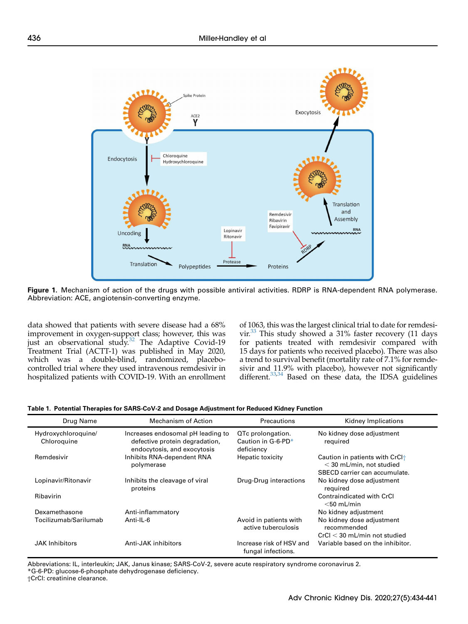<span id="page-2-0"></span>

Figure 1. Mechanism of action of the drugs with possible antiviral activities. RDRP is RNA-dependent RNA polymerase. Abbreviation: ACE, angiotensin-converting enzyme.

data showed that patients with severe disease had a 68% improvement in oxygen-support class; however, this was just an observational study.<sup>[32](#page-6-7)</sup> The Adaptive Covid-19 Treatment Trial (ACTT-1) was published in May 2020, which was a double-blind, randomized, placebocontrolled trial where they used intravenous remdesivir in hospitalized patients with COVID-19. With an enrollment of 1063, this was the largest clinical trial to date for remdesivir.<sup>33</sup> This study showed a 31% faster recovery (11 days for patients treated with remdesivir compared with 15 days for patients who received placebo). There was also a trend to survival benefit (mortality rate of 7.1% for remdesivir and 11.9% with placebo), however not significantly different.<sup>33[,34](#page-6-9)</sup> Based on these data, the IDSA guidelines

<span id="page-2-1"></span>

|  |  |  | Table 1. Potential Therapies for SARS-CoV-2 and Dosage Adjustment for Reduced Kidney Function |  |  |
|--|--|--|-----------------------------------------------------------------------------------------------|--|--|
|  |  |  |                                                                                               |  |  |

| Drug Name                          | Mechanism of Action                                                                                | Precautions                                           | Kidney Implications                                                                                       |
|------------------------------------|----------------------------------------------------------------------------------------------------|-------------------------------------------------------|-----------------------------------------------------------------------------------------------------------|
| Hydroxychloroquine/<br>Chloroquine | Increases endosomal pH leading to<br>defective protein degradation,<br>endocytosis, and exocytosis | QTc prolongation.<br>Caution in G-6-PD*<br>deficiency | No kidney dose adjustment<br>required                                                                     |
| Remdesivir                         | Inhibits RNA-dependent RNA<br>polymerase                                                           | Hepatic toxicity                                      | Caution in patients with CrCl <sup>+</sup><br>$<$ 30 mL/min, not studied<br>SBECD carrier can accumulate. |
| Lopinavir/Ritonavir                | Inhibits the cleavage of viral<br>proteins                                                         | Drug-Drug interactions                                | No kidney dose adjustment<br>required                                                                     |
| Ribavirin                          |                                                                                                    |                                                       | Contraindicated with CrCl<br>$<$ 50 mL/min                                                                |
| Dexamethasone                      | Anti-inflammatory                                                                                  |                                                       | No kidney adjustment                                                                                      |
| Tocilizumab/Sarilumab              | Anti-IL-6                                                                                          | Avoid in patients with<br>active tuberculosis         | No kidney dose adjustment<br>recommended                                                                  |
|                                    |                                                                                                    |                                                       | $CrCl < 30$ mL/min not studied                                                                            |
| <b>JAK</b> Inhibitors              | Anti-JAK inhibitors                                                                                | Increase risk of HSV and<br>fungal infections.        | Variable based on the inhibitor.                                                                          |

Abbreviations: IL, interleukin; JAK, Janus kinase; SARS-CoV-2, severe acute respiratory syndrome coronavirus 2. \*G-6-PD: glucose-6-phosphate dehydrogenase deficiency.

†CrCl: creatinine clearance.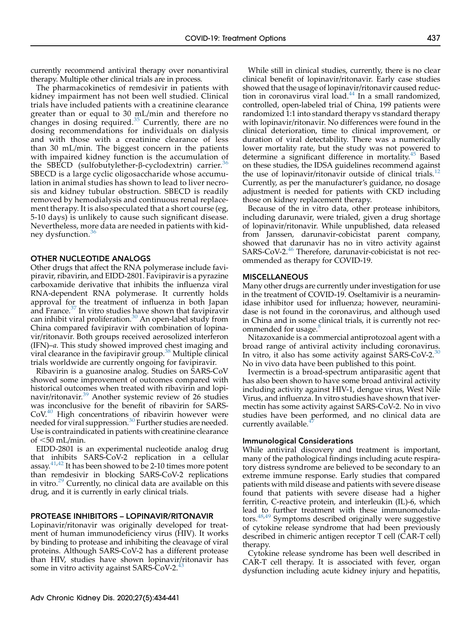currently recommend antiviral therapy over nonantiviral therapy. Multiple other clinical trials are in process.

The pharmacokinetics of remdesivir in patients with kidney impairment has not been well studied. Clinical trials have included patients with a creatinine clearance greater than or equal to 30 mL/min and therefore no changes in dosing required.<sup>[35](#page-6-10)</sup> Currently, there are no dosing recommendations for individuals on dialysis and with those with a creatinine clearance of less than 30 mL/min. The biggest concern in the patients with impaired kidney function is the accumulation of the SBECD (sulfobutylether- $\beta$ -cyclodextrin) carrier.<sup>3</sup> SBECD is a large cyclic oligosaccharide whose accumulation in animal studies has shown to lead to liver necrosis and kidney tubular obstruction. SBECD is readily removed by hemodialysis and continuous renal replacement therapy. It is also speculated that a short course (eg, 5-10 days) is unlikely to cause such significant disease. Nevertheless, more data are needed in patients with kid-ney dysfunction.<sup>[36](#page-6-11)</sup>

# OTHER NUCLEOTIDE ANALOGS

Other drugs that affect the RNA polymerase include favipiravir, ribavirin, and EIDD-2801. Favipiravir is a pyrazine carboxamide derivative that inhibits the influenza viral RNA-dependent RNA polymerase. It currently holds approval for the treatment of influenza in both Japan and France.<sup>[37](#page-6-12)</sup> In vitro studies have shown that favipiravir can inhibit viral proliferation.<sup>[30](#page-6-5)</sup> An open-label study from China compared favipiravir with combination of lopinavir/ritonavir. Both groups received aerosolized interferon (IFN)–a. This study showed improved chest imaging and viral clearance in the favipiravir group.<sup>[38](#page-6-13)</sup> Multiple clinical trials worldwide are currently ongoing for favipiravir.

Ribavirin is a guanosine analog. Studies on SARS-CoV showed some improvement of outcomes compared with historical outcomes when treated with ribavirin and lopi-navir/ritonavir.<sup>[39](#page-6-14)</sup> Another systemic review of 26 studies was inconclusive for the benefit of ribavirin for SARS- $CoV<sup>40</sup>$  $CoV<sup>40</sup>$  $CoV<sup>40</sup>$  High concentrations of ribavirin however were needed for viral suppression.<sup>[30](#page-6-5)</sup> Further studies are needed. Use is contraindicated in patients with creatinine clearance of  $<$ 50 mL/min.

EIDD-2801 is an experimental nucleotide analog drug that inhibits SARS-CoV-2 replication in a cellular assay. $41,42$  $41,42$  It has been showed to be 2-10 times more potent than remdesivir in blocking SARS-CoV-2 replications in vitro.<sup>[29](#page-6-4)</sup> Currently, no clinical data are available on this drug, and it is currently in early clinical trials.

# PROTEASE INHIBITORS – LOPINAVIR/RITONAVIR

Lopinavir/ritonavir was originally developed for treatment of human immunodeficiency virus (HIV). It works by binding to protease and inhibiting the cleavage of viral proteins. Although SARS-CoV-2 has a different protease than HIV, studies have shown lopinavir/ritonavir has some in vitro activity against SARS-CoV-2.<sup>[43](#page-6-18)</sup>

While still in clinical studies, currently, there is no clear clinical benefit of lopinavir/ritonavir. Early case studies showed that the usage of lopinavir/ritonavir caused reduction in coronavirus viral load. $44$  In a small randomized, controlled, open-labeled trial of China, 199 patients were randomized 1:1 into standard therapy vs standard therapy with lopinavir/ritonavir. No differences were found in the clinical deterioration, time to clinical improvement, or duration of viral detectability. There was a numerically lower mortality rate, but the study was not powered to determine a significant difference in mortality.<sup>[45](#page-6-20)</sup> Based on these studies, the IDSA guidelines recommend against the use of lopinavir/ritonavir outside of clinical trials.<sup>12</sup> Currently, as per the manufacturer's guidance, no dosage adjustment is needed for patients with CKD including those on kidney replacement therapy.

Because of the in vitro data, other protease inhibitors, including darunavir, were trialed, given a drug shortage of lopinavir/ritonavir. While unpublished, data released from Janssen, darunavir-cobicistat parent company, showed that darunavir has no in vitro activity against  $SARS-CoV-2.<sup>46</sup>$  $SARS-CoV-2.<sup>46</sup>$  $SARS-CoV-2.<sup>46</sup>$  Therefore, darunavir-cobicistat is not recommended as therapy for COVID-19.

## MISCELLANEOUS

Many other drugs are currently under investigation for use in the treatment of COVID-19. Oseltamivir is a neuraminidase inhibitor used for influenza; however, neuraminidase is not found in the coronavirus, and although used in China and in some clinical trials, it is currently not rec-ommended for usage.<sup>[8](#page-5-7)</sup>

Nitazoxanide is a commercial antiprotozoal agent with a broad range of antiviral activity including coronavirus. In vitro, it also has some activity against SARS-CoV-2.<sup>[30](#page-6-5)</sup> No in vivo data have been published to this point.

Ivermectin is a broad-spectrum antiparasitic agent that has also been shown to have some broad antiviral activity including activity against HIV-1, dengue virus, West Nile Virus, and influenza. In vitro studies have shown that ivermectin has some activity against SARS-CoV-2. No in vivo studies have been performed, and no clinical data are currently available.<sup>4</sup>

# Immunological Considerations

While antiviral discovery and treatment is important, many of the pathological findings including acute respiratory distress syndrome are believed to be secondary to an extreme immune response. Early studies that compared patients with mild disease and patients with severe disease found that patients with severe disease had a higher ferritin, C-reactive protein, and interleukin (IL)-6, which lead to further treatment with these immunomodula-tors.<sup>[48](#page-6-23)[,49](#page-6-24)</sup> Symptoms described originally were suggestive of cytokine release syndrome that had been previously described in chimeric antigen receptor T cell (CAR-T cell) therapy.

Cytokine release syndrome has been well described in CAR-T cell therapy. It is associated with fever, organ dysfunction including acute kidney injury and hepatitis,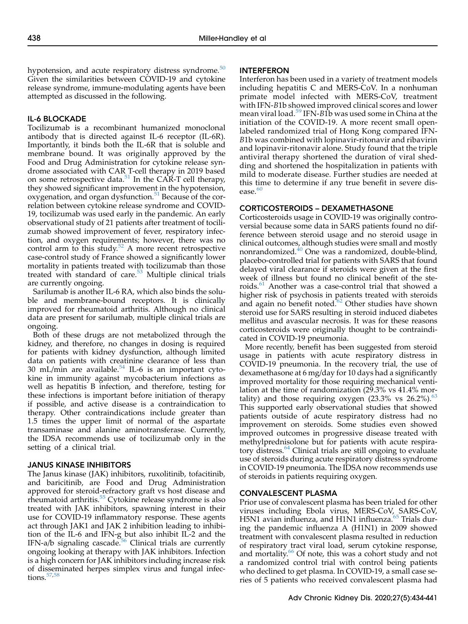hypotension, and acute respiratory distress syndrome. $50$ Given the similarities between COVID-19 and cytokine release syndrome, immune-modulating agents have been attempted as discussed in the following.

# IL-6 BLOCKADE

Tocilizumab is a recombinant humanized monoclonal antibody that is directed against IL-6 receptor (IL-6R). Importantly, it binds both the IL-6R that is soluble and membrane bound. It was originally approved by the Food and Drug Administration for cytokine release syndrome associated with CAR T-cell therapy in 2019 based on some retrospective data.<sup>[51](#page-6-26)</sup> In the CAR-T cell therapy, they showed significant improvement in the hypotension, oxygenation, and organ dysfunction.<sup>[51](#page-6-26)</sup> Because of the correlation between cytokine release syndrome and COVID-19, tocilizumab was used early in the pandemic. An early observational study of 21 patients after treatment of tocilizumab showed improvement of fever, respiratory infection, and oxygen requirements; however, there was no control arm to this study. $52$  A more recent retrospective case-control study of France showed a significantly lower mortality in patients treated with tocilizumab than those treated with standard of care.<sup>[53](#page-6-28)</sup> Multiple clinical trials are currently ongoing.

Sarilumab is another IL-6 RA, which also binds the soluble and membrane-bound receptors. It is clinically improved for rheumatoid arthritis. Although no clinical data are present for sarilumab, multiple clinical trials are ongoing.

Both of these drugs are not metabolized through the kidney, and therefore, no changes in dosing is required for patients with kidney dysfunction, although limited data on patients with creatinine clearance of less than 30 mL/min are available. $54$  IL-6 is an important cytokine in immunity against mycobacterium infections as well as hepatitis B infection, and therefore, testing for these infections is important before initiation of therapy if possible, and active disease is a contraindication to therapy. Other contraindications include greater than 1.5 times the upper limit of normal of the aspartate transaminase and alanine aminotransferase. Currently, the IDSA recommends use of tocilizumab only in the setting of a clinical trial.

### JANUS KINASE INHIBITORS

The Janus kinase (JAK) inhibitors, ruxolitinib, tofacitinib, and baricitinib, are Food and Drug Administration approved for steroid-refractory graft vs host disease and rheumatoid arthritis.<sup>[55](#page-6-30)</sup> Cytokine release syndrome is also treated with JAK inhibitors, spawning interest in their use for COVID-19 inflammatory response. These agents act through JAK1 and JAK 2 inhibition leading to inhibition of the IL-6 and IFN-g but also inhibit IL-2 and the IFN-a/b signaling cascade.<sup>56</sup> Clinical trials are currently ongoing looking at therapy with JAK inhibitors. Infection is a high concern for JAK inhibitors including increase risk of disseminated herpes simplex virus and fungal infections. $57,58$  $57,58$ 

## INTERFERON

Interferon has been used in a variety of treatment models including hepatitis C and MERS-CoV. In a nonhuman primate model infected with MERS-CoV, treatment with IFN-B1b showed improved clinical scores and lower mean viral load.<sup>39</sup> IFN-B1b was used some in China at the initiation of the COVID-19. A more recent small openlabeled randomized trial of Hong Kong compared IFN-B1b was combined with lopinavir-ritonavir and ribavirin and lopinavir-ritonavir alone. Study found that the triple antiviral therapy shortened the duration of viral shedding and shortened the hospitalization in patients with mild to moderate disease. Further studies are needed at this time to determine if any true benefit in severe disease. $60$ 

# CORTICOSTEROIDS – DEXAMETHASONE

Corticosteroids usage in COVID-19 was originally controversial because some data in SARS patients found no difference between steroid usage and no steroid usage in clinical outcomes, although studies were small and mostly nonrandomized.[40](#page-6-15) One was a randomized, double-blind, placebo-controlled trial for patients with SARS that found delayed viral clearance if steroids were given at the first week of illness but found no clinical benefit of the ste-roids.<sup>[61](#page-6-36)</sup> Another was a case-control trial that showed a higher risk of psychosis in patients treated with steroids and again no benefit noted.<sup>62</sup> Other studies have shown steroid use for SARS resulting in steroid induced diabetes mellitus and avascular necrosis. It was for these reasons corticosteroids were originally thought to be contraindicated in COVID-19 pneumonia.

More recently, benefit has been suggested from steroid usage in patients with acute respiratory distress in COVID-19 pneumonia. In the recovery trial, the use of dexamethasone at 6 mg/day for 10 days had a significantly improved mortality for those requiring mechanical ventilation at the time of randomization (29.3% vs 41.4% mortality) and those requiring oxygen  $(23.3\% \text{ vs } 26.2\%).$ <sup>[63](#page-6-38)</sup> This supported early observational studies that showed patients outside of acute respiratory distress had no improvement on steroids. Some studies even showed improved outcomes in progressive disease treated with methylprednisolone but for patients with acute respiratory distress. $64$  Clinical trials are still ongoing to evaluate use of steroids during acute respiratory distress syndrome in COVID-19 pneumonia. The IDSA now recommends use of steroids in patients requiring oxygen.

# CONVALESCENT PLASMA

Prior use of convalescent plasma has been trialed for other viruses including Ebola virus, MERS-CoV, SARS-CoV, H5N1 avian influenza, and H1N1 influenza.<sup>[65](#page-7-0)</sup> Trials during the pandemic influenza A (H1N1) in 2009 showed treatment with convalescent plasma resulted in reduction of respiratory tract viral load, serum cytokine response, and mortality.<sup>[66](#page-7-1)</sup> Of note, this was a cohort study and not a randomized control trial with control being patients who declined to get plasma. In COVID-19, a small case series of 5 patients who received convalescent plasma had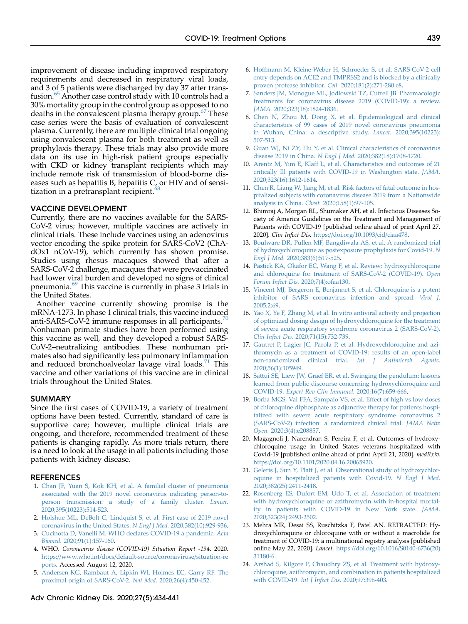improvement of disease including improved respiratory requirements and decreased in respiratory viral loads, and 3 of 5 patients were discharged by day 37 after trans-fusion.<sup>[65](#page-7-0)</sup> Another case control study with 10 controls had a 30% mortality group in the control group as opposed to no deaths in the convalescent plasma therapy group.<sup>[67](#page-7-2)</sup> These case series were the basis of evaluation of convalescent plasma. Currently, there are multiple clinical trial ongoing using convalescent plasma for both treatment as well as prophylaxis therapy. These trials may also provide more data on its use in high-risk patient groups especially with CKD or kidney transplant recipients which may include remote risk of transmission of blood-borne diseases such as hepatitis B, hepatitis  $C_{\beta}$  or HIV and of sensitization in a pretransplant recipient.<sup>6</sup>

# VACCINE DEVELOPMENT

Currently, there are no vaccines available for the SARS-CoV-2 virus; however, multiple vaccines are actively in clinical trials. These include vaccines using an adenovirus vector encoding the spike protein for SARS-CoV2 (ChAdOx1 nCoV-19), which currently has shown promise. Studies using rhesus macaques showed that after a SARS-CoV-2 challenge, macaques that were prevaccinated had lower viral burden and developed no signs of clinical pneumonia.[69](#page-7-4) This vaccine is currently in phase 3 trials in the United States.

Another vaccine currently showing promise is the mRNA-1273. In phase 1 clinical trials, this vaccine induced anti-SARS-CoV-2 immune responses in all participants.<sup>7</sup> Nonhuman primate studies have been performed using this vaccine as well, and they developed a robust SARS-CoV-2–neutralizing antibodies. These nonhuman primates also had significantly less pulmonary inflammation and reduced bronchoalveolar lavage viral loads.<sup>[71](#page-7-6)</sup> This vaccine and other variations of this vaccine are in clinical trials throughout the United States.

## SUMMARY

Since the first cases of COVID-19, a variety of treatment options have been tested. Currently, standard of care is supportive care; however, multiple clinical trials are ongoing, and therefore, recommended treatment of these patients is changing rapidly. As more trials return, there is a need to look at the usage in all patients including those patients with kidney disease.

#### <span id="page-5-0"></span>REFERENCES

- 1. [Chan JF, Yuan S, Kok KH, et al. A familial cluster of pneumonia](http://refhub.elsevier.com/S1548-5595(20)30133-6/sref1) [associated with the 2019 novel coronavirus indicating person-to](http://refhub.elsevier.com/S1548-5595(20)30133-6/sref1)[person transmission: a study of a family cluster.](http://refhub.elsevier.com/S1548-5595(20)30133-6/sref1) Lancet. [2020;395\(10223\):514-523.](http://refhub.elsevier.com/S1548-5595(20)30133-6/sref1)
- <span id="page-5-2"></span><span id="page-5-1"></span>2. [Holshue ML, DeBolt C, Lindquist S, et al. First case of 2019 novel](http://refhub.elsevier.com/S1548-5595(20)30133-6/sref2) [coronavirus in the United States.](http://refhub.elsevier.com/S1548-5595(20)30133-6/sref2) N Engl J Med. 2020;382(10):929-936.
- <span id="page-5-3"></span>3. [Cucinotta D, Vanelli M. WHO declares COVID-19 a pandemic.](http://refhub.elsevier.com/S1548-5595(20)30133-6/sref3) Acta Biomed. [2020;91\(1\):157-160](http://refhub.elsevier.com/S1548-5595(20)30133-6/sref3).
- 4. WHO. Coronavirus disease (COVID-19) Situation Report -194. 2020. [https://www.who.int/docs/default-source/coronaviruse/situation-re](https://www.who.int/docs/default-source/coronaviruse/situation-reports) [ports](https://www.who.int/docs/default-source/coronaviruse/situation-reports). Accessed August 12, 2020.
- <span id="page-5-4"></span>5. [Andersen KG, Rambaut A, Lipkin WI, Holmes EC, Garry RF. The](http://refhub.elsevier.com/S1548-5595(20)30133-6/sref5) [proximal origin of SARS-CoV-2.](http://refhub.elsevier.com/S1548-5595(20)30133-6/sref5) Nat Med. 2020;26(4):450-452.
- <span id="page-5-5"></span>6. [Hoffmann M, Kleine-Weber H, Schroeder S, et al. SARS-CoV-2 cell](http://refhub.elsevier.com/S1548-5595(20)30133-6/sref6) [entry depends on ACE2 and TMPRSS2 and is blocked by a clinically](http://refhub.elsevier.com/S1548-5595(20)30133-6/sref6) [proven protease inhibitor.](http://refhub.elsevier.com/S1548-5595(20)30133-6/sref6) Cell. 2020;181(2):271-280.e8.
- <span id="page-5-6"></span>7. [Sanders JM, Monogue ML, Jodlowski TZ, Cutrell JB. Pharmacologic](http://refhub.elsevier.com/S1548-5595(20)30133-6/sref7) [treatments for coronavirus disease 2019 \(COVID-19\): a review.](http://refhub.elsevier.com/S1548-5595(20)30133-6/sref7) JAMA. [2020;323\(18\):1824-1836](http://refhub.elsevier.com/S1548-5595(20)30133-6/sref7).
- <span id="page-5-7"></span>8. [Chen N, Zhou M, Dong X, et al. Epidemiological and clinical](http://refhub.elsevier.com/S1548-5595(20)30133-6/sref8) [characteristics of 99 cases of 2019 novel coronavirus pneumonia](http://refhub.elsevier.com/S1548-5595(20)30133-6/sref8) [in Wuhan, China: a descriptive study.](http://refhub.elsevier.com/S1548-5595(20)30133-6/sref8) Lancet. 2020;395(10223): [507-513](http://refhub.elsevier.com/S1548-5595(20)30133-6/sref8).
- 9. [Guan WJ, Ni ZY, Hu Y, et al. Clinical characteristics of coronavirus](http://refhub.elsevier.com/S1548-5595(20)30133-6/sref9) disease 2019 in China. N Engl J Med. [2020;382\(18\):1708-1720](http://refhub.elsevier.com/S1548-5595(20)30133-6/sref9).
- 10. [Arentz M, Yim E, Klaff L, et al. Characteristics and outcomes of 21](http://refhub.elsevier.com/S1548-5595(20)30133-6/sref10) [critically Ill patients with COVID-19 in Washington state.](http://refhub.elsevier.com/S1548-5595(20)30133-6/sref10) JAMA. [2020;323\(16\):1612-1614.](http://refhub.elsevier.com/S1548-5595(20)30133-6/sref10)
- <span id="page-5-8"></span>11. [Chen R, Liang W, Jiang M, et al. Risk factors of fatal outcome in hos](http://refhub.elsevier.com/S1548-5595(20)30133-6/sref11)[pitalized subjects with coronavirus disease 2019 from a Nationwide](http://refhub.elsevier.com/S1548-5595(20)30133-6/sref11) analysis in China. Chest. [2020;158\(1\):97-105](http://refhub.elsevier.com/S1548-5595(20)30133-6/sref11).
- <span id="page-5-9"></span>12. Bhimraj A, Morgan RL, Shumaker AH, et al. Infectious Diseases Society of America Guidelines on the Treatment and Management of Patients with COVID-19 [published online ahead of print April 27, 2020]. Clin Infect Dis. <https://doi.org/10.1093/cid/ciaa478>.
- <span id="page-5-10"></span>13. [Boulware DR, Pullen MF, Bangdiwala AS, et al. A randomized trial](http://refhub.elsevier.com/S1548-5595(20)30133-6/sref13) [of hydroxychloroquine as postexposure prophylaxis for Covid-19.](http://refhub.elsevier.com/S1548-5595(20)30133-6/sref13) N Engl J Med. [2020;383\(6\):517-525](http://refhub.elsevier.com/S1548-5595(20)30133-6/sref13).
- <span id="page-5-11"></span>14. [Pastick KA, Okafor EC, Wang F, et al. Review: hydroxychloroquine](http://refhub.elsevier.com/S1548-5595(20)30133-6/sref14) [and chloroquine for treatment of SARS-CoV-2 \(COVID-19\).](http://refhub.elsevier.com/S1548-5595(20)30133-6/sref14) Open Forum Infect Dis. [2020;7\(4\):ofaa130](http://refhub.elsevier.com/S1548-5595(20)30133-6/sref14).
- <span id="page-5-12"></span>15. [Vincent MJ, Bergeron E, Benjannet S, et al. Chloroquine is a potent](http://refhub.elsevier.com/S1548-5595(20)30133-6/sref15) [inhibitor of SARS coronavirus infection and spread.](http://refhub.elsevier.com/S1548-5595(20)30133-6/sref15) Virol J. [2005;2:69.](http://refhub.elsevier.com/S1548-5595(20)30133-6/sref15)
- <span id="page-5-13"></span>16. [Yao X, Ye F, Zhang M, et al. In vitro antiviral activity and projection](http://refhub.elsevier.com/S1548-5595(20)30133-6/sref16) [of optimized dosing design of hydroxychloroquine for the treatment](http://refhub.elsevier.com/S1548-5595(20)30133-6/sref16) [of severe acute respiratory syndrome coronavirus 2 \(SARS-CoV-2\).](http://refhub.elsevier.com/S1548-5595(20)30133-6/sref16) Clin Infect Dis. [2020;71\(15\):732-739](http://refhub.elsevier.com/S1548-5595(20)30133-6/sref16).
- <span id="page-5-14"></span>17. [Gautret P, Lagier JC, Parola P, et al. Hydroxychloroquine and azi](http://refhub.elsevier.com/S1548-5595(20)30133-6/sref17)[thromycin as a treatment of COVID-19: results of an open-label](http://refhub.elsevier.com/S1548-5595(20)30133-6/sref17) [non-randomized clinical trial.](http://refhub.elsevier.com/S1548-5595(20)30133-6/sref17) Int J Antimicrob Agents. [2020;56\(1\):105949.](http://refhub.elsevier.com/S1548-5595(20)30133-6/sref17)
- <span id="page-5-15"></span>18. [Sattui SE, Liew JW, Graef ER, et al. Swinging the pendulum: lessons](http://refhub.elsevier.com/S1548-5595(20)30133-6/sref18) [learned from public discourse concerning hydroxychloroquine and](http://refhub.elsevier.com/S1548-5595(20)30133-6/sref18) COVID-19. [Expert Rev Clin Immunol.](http://refhub.elsevier.com/S1548-5595(20)30133-6/sref18) 2020;16(7):659-666.
- <span id="page-5-16"></span>19. [Borba MGS, Val FFA, Sampaio VS, et al. Effect of high vs low doses](http://refhub.elsevier.com/S1548-5595(20)30133-6/sref19) [of chloroquine diphosphate as adjunctive therapy for patients hospi](http://refhub.elsevier.com/S1548-5595(20)30133-6/sref19)[talized with severe acute respiratory syndrome coronavirus 2](http://refhub.elsevier.com/S1548-5595(20)30133-6/sref19) [\(SARS-CoV-2\) infection: a randomized clinical trial.](http://refhub.elsevier.com/S1548-5595(20)30133-6/sref19) JAMA Netw Open. [2020;3\(4\):e208857](http://refhub.elsevier.com/S1548-5595(20)30133-6/sref19).
- <span id="page-5-17"></span>20. Magagnoli J, Narendran S, Pereira F, et al. Outcomes of hydroxychloroquine usage in United States veterans hospitalized with Covid-19 [published online ahead of print April 21, 2020]. medRxiv. [https://doi.org/10.1101/2020.04.16.20065920.](https://doi.org/10.1101/2020.04.16.20065920)
- <span id="page-5-18"></span>21. [Geleris J, Sun Y, Platt J, et al. Observational study of hydroxychlor](http://refhub.elsevier.com/S1548-5595(20)30133-6/sref21)[oquine in hospitalized patients with Covid-19.](http://refhub.elsevier.com/S1548-5595(20)30133-6/sref21) N Engl J Med. [2020;382\(25\):2411-2418.](http://refhub.elsevier.com/S1548-5595(20)30133-6/sref21)
- <span id="page-5-19"></span>22. [Rosenberg ES, Dufort EM, Udo T, et al. Association of treatment](http://refhub.elsevier.com/S1548-5595(20)30133-6/sref22) [with hydroxychloroquine or azithromycin with in-hospital mortal](http://refhub.elsevier.com/S1548-5595(20)30133-6/sref22)[ity in patients with COVID-19 in New York state.](http://refhub.elsevier.com/S1548-5595(20)30133-6/sref22) JAMA. [2020;323\(24\):2493-2502.](http://refhub.elsevier.com/S1548-5595(20)30133-6/sref22)
- <span id="page-5-20"></span>23. Mehra MR, Desai SS, Ruschitzka F, Patel AN. RETRACTED: Hydroxychloroquine or chloroquine with or without a macrolide for treatment of COVID-19: a multinational registry analysis [published online May 22, 2020]. Lancet. [https://doi.org/10.1016/S0140-6736\(20\)](https://doi.org/10.1016/S0140-6736(20)31180-6) [31180-6](https://doi.org/10.1016/S0140-6736(20)31180-6).
- <span id="page-5-21"></span>24. [Arshad S, Kilgore P, Chaudhry ZS, et al. Treatment with hydroxy](http://refhub.elsevier.com/S1548-5595(20)30133-6/sref24)[chloroquine, azithromycin, and combination in patients hospitalized](http://refhub.elsevier.com/S1548-5595(20)30133-6/sref24) [with COVID-19.](http://refhub.elsevier.com/S1548-5595(20)30133-6/sref24) Int J Infect Dis. 2020;97:396-403.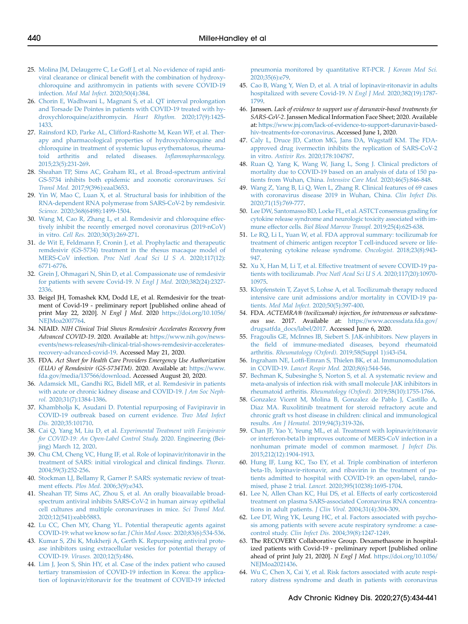- <span id="page-6-0"></span>25. [Molina JM, Delaugerre C, Le Goff J, et al. No evidence of rapid anti](http://refhub.elsevier.com/S1548-5595(20)30133-6/sref25)viral clearance or clinical benefi[t with the combination of hydroxy](http://refhub.elsevier.com/S1548-5595(20)30133-6/sref25)[chloroquine and azithromycin in patients with severe COVID-19](http://refhub.elsevier.com/S1548-5595(20)30133-6/sref25) infection. [Med Mal Infect.](http://refhub.elsevier.com/S1548-5595(20)30133-6/sref25) 2020;50(4):384.
- <span id="page-6-1"></span>26. [Chorin E, Wadhwani L, Magnani S, et al. QT interval prolongation](http://refhub.elsevier.com/S1548-5595(20)30133-6/sref26) [and Torsade De Pointes in patients with COVID-19 treated with hy](http://refhub.elsevier.com/S1548-5595(20)30133-6/sref26)[droxychloroquine/azithromycin.](http://refhub.elsevier.com/S1548-5595(20)30133-6/sref26) Heart Rhythm. 2020;17(9):1425- [1433.](http://refhub.elsevier.com/S1548-5595(20)30133-6/sref26)
- <span id="page-6-2"></span>27. [Rainsford KD, Parke AL, Clifford-Rashotte M, Kean WF, et al. Ther](http://refhub.elsevier.com/S1548-5595(20)30133-6/sref27)[apy and pharmacological properties of hydroxychloroquine and](http://refhub.elsevier.com/S1548-5595(20)30133-6/sref27) [chloroquine in treatment of systemic lupus erythematosus, rheuma](http://refhub.elsevier.com/S1548-5595(20)30133-6/sref27)[toid arthritis and related diseases.](http://refhub.elsevier.com/S1548-5595(20)30133-6/sref27) Inflammopharmacology. [2015;23\(5\):231-269](http://refhub.elsevier.com/S1548-5595(20)30133-6/sref27).
- <span id="page-6-3"></span>28. [Sheahan TP, Sims AC, Graham RL, et al. Broad-spectrum antiviral](http://refhub.elsevier.com/S1548-5595(20)30133-6/sref28) [GS-5734 inhibits both epidemic and zoonotic coronaviruses.](http://refhub.elsevier.com/S1548-5595(20)30133-6/sref28) Sci Transl Med. [2017;9\(396\):eaal3653.](http://refhub.elsevier.com/S1548-5595(20)30133-6/sref28)
- <span id="page-6-4"></span>29. [Yin W, Mao C, Luan X, et al. Structural basis for inhibition of the](http://refhub.elsevier.com/S1548-5595(20)30133-6/sref29) [RNA-dependent RNA polymerase from SARS-CoV-2 by remdesivir.](http://refhub.elsevier.com/S1548-5595(20)30133-6/sref29) Science. [2020;368\(6498\):1499-1504](http://refhub.elsevier.com/S1548-5595(20)30133-6/sref29).
- <span id="page-6-5"></span>30. [Wang M, Cao R, Zhang L, et al. Remdesivir and chloroquine effec](http://refhub.elsevier.com/S1548-5595(20)30133-6/sref30)[tively inhibit the recently emerged novel coronavirus \(2019-nCoV\)](http://refhub.elsevier.com/S1548-5595(20)30133-6/sref30) in vitro. Cell Res. [2020;30\(3\):269-271.](http://refhub.elsevier.com/S1548-5595(20)30133-6/sref30)
- <span id="page-6-6"></span>31. [de Wit E, Feldmann F, Cronin J, et al. Prophylactic and therapeutic](http://refhub.elsevier.com/S1548-5595(20)30133-6/sref31) [remdesivir \(GS-5734\) treatment in the rhesus macaque model of](http://refhub.elsevier.com/S1548-5595(20)30133-6/sref31) MERS-CoV infection. [Proc Natl Acad Sci U S A.](http://refhub.elsevier.com/S1548-5595(20)30133-6/sref31) 2020;117(12): [6771-6776](http://refhub.elsevier.com/S1548-5595(20)30133-6/sref31).
- <span id="page-6-7"></span>32. [Grein J, Ohmagari N, Shin D, et al. Compassionate use of remdesivir](http://refhub.elsevier.com/S1548-5595(20)30133-6/sref32) [for patients with severe Covid-19.](http://refhub.elsevier.com/S1548-5595(20)30133-6/sref32) N Engl J Med. 2020;382(24):2327- [2336.](http://refhub.elsevier.com/S1548-5595(20)30133-6/sref32)
- <span id="page-6-8"></span>33. Beigel JH, Tomashek KM, Dodd LE, et al. Remdesivir for the treatment of Covid-19 - preliminary report [published online ahead of print May 22, 2020]. N Engl J Med. 2020 [https://doi.org/10.1056/](https://doi.org/10.1056/NEJMoa2007764) NEIMoa2007764.
- <span id="page-6-9"></span>34. NIAID. NIH Clinical Trial Shows Remdesivir Accelerates Recovery from Advanced COVID-19. 2020. Available at: [https://www.nih.gov/news](https://www.nih.gov/news-events/news-releases/nih-clinical-trial-shows-remdesivir-accelerates-recovery-advanced-covid-19)[events/news-releases/nih-clinical-trial-shows-remdesivir-accelerates](https://www.nih.gov/news-events/news-releases/nih-clinical-trial-shows-remdesivir-accelerates-recovery-advanced-covid-19)[recovery-advanced-covid-19.](https://www.nih.gov/news-events/news-releases/nih-clinical-trial-shows-remdesivir-accelerates-recovery-advanced-covid-19) Accessed May 21, 2020.
- <span id="page-6-10"></span>35. FDA. Act Sheet for Health Care Providers Emergency Use Authorization (EUA) of Remdesivir (GS-5734TM). 2020. Available at: [https://www.](https://www.fda.gov/media/137566/download) [fda.gov/media/137566/download](https://www.fda.gov/media/137566/download). Accessed August 20, 2020.
- <span id="page-6-11"></span>36. [Adamsick ML, Gandhi RG, Bidell MR, et al. Remdesivir in patients](http://refhub.elsevier.com/S1548-5595(20)30133-6/sref36) [with acute or chronic kidney disease and COVID-19.](http://refhub.elsevier.com/S1548-5595(20)30133-6/sref36) J Am Soc Nephrol. [2020;31\(7\):1384-1386.](http://refhub.elsevier.com/S1548-5595(20)30133-6/sref36)
- <span id="page-6-12"></span>37. [Khambholja K, Asudani D. Potential repurposing of Favipiravir in](http://refhub.elsevier.com/S1548-5595(20)30133-6/sref37) [COVID-19 outbreak based on current evidence.](http://refhub.elsevier.com/S1548-5595(20)30133-6/sref37) Trav Med Infect Dis. [2020;35:101710.](http://refhub.elsevier.com/S1548-5595(20)30133-6/sref37)
- <span id="page-6-13"></span>38. Cai Q, Yang M, Liu D, et al. [Experimental Treatment with Favipiravir](http://refhub.elsevier.com/S1548-5595(20)30133-6/sref38) [for COVID-19: An Open-Label Control Study](http://refhub.elsevier.com/S1548-5595(20)30133-6/sref38). 2020. Engineering (Bei[jing\) March 12, 2020.](http://refhub.elsevier.com/S1548-5595(20)30133-6/sref38)
- <span id="page-6-14"></span>39. [Chu CM, Cheng VC, Hung IF, et al. Role of lopinavir/ritonavir in the](http://refhub.elsevier.com/S1548-5595(20)30133-6/sref39) [treatment of SARS: initial virological and clinical](http://refhub.elsevier.com/S1548-5595(20)30133-6/sref39) findings. Thorax. [2004;59\(3\):252-256](http://refhub.elsevier.com/S1548-5595(20)30133-6/sref39).
- <span id="page-6-15"></span>40. [Stockman LJ, Bellamy R, Garner P. SARS: systematic review of treat](http://refhub.elsevier.com/S1548-5595(20)30133-6/sref40)ment effects. Plos Med. [2006;3\(9\):e343.](http://refhub.elsevier.com/S1548-5595(20)30133-6/sref40)
- <span id="page-6-16"></span>41. [Sheahan TP, Sims AC, Zhou S, et al. An orally bioavailable broad](http://refhub.elsevier.com/S1548-5595(20)30133-6/sref41)[spectrum antiviral inhibits SARS-CoV-2 in human airway epithelial](http://refhub.elsevier.com/S1548-5595(20)30133-6/sref41) [cell cultures and multiple coronaviruses in mice.](http://refhub.elsevier.com/S1548-5595(20)30133-6/sref41) Sci Transl Med. [2020;12\(541\):eabb5883](http://refhub.elsevier.com/S1548-5595(20)30133-6/sref41).
- <span id="page-6-17"></span>42. [Lu CC, Chen MY, Chang YL. Potential therapeutic agents against](http://refhub.elsevier.com/S1548-5595(20)30133-6/sref42) [COVID-19: what we know so far.](http://refhub.elsevier.com/S1548-5595(20)30133-6/sref42) J Chin Med Assoc. 2020;83(6):534-536.
- <span id="page-6-18"></span>43. [Kumar S, Zhi K, Mukherji A, Gerth K. Repurposing antiviral prote](http://refhub.elsevier.com/S1548-5595(20)30133-6/sref43)[ase inhibitors using extracellular vesicles for potential therapy of](http://refhub.elsevier.com/S1548-5595(20)30133-6/sref43) COVID-19. Viruses. [2020;12\(5\):486](http://refhub.elsevier.com/S1548-5595(20)30133-6/sref43).
- <span id="page-6-19"></span>44. [Lim J, Jeon S, Shin HY, et al. Case of the index patient who caused](http://refhub.elsevier.com/S1548-5595(20)30133-6/sref44) [tertiary transmission of COVID-19 infection in Korea: the applica](http://refhub.elsevier.com/S1548-5595(20)30133-6/sref44)[tion of lopinavir/ritonavir for the treatment of COVID-19 infected](http://refhub.elsevier.com/S1548-5595(20)30133-6/sref44)

[pneumonia monitored by quantitative RT-PCR.](http://refhub.elsevier.com/S1548-5595(20)30133-6/sref44) J Korean Med Sci. [2020;35\(6\):e79.](http://refhub.elsevier.com/S1548-5595(20)30133-6/sref44)

- <span id="page-6-20"></span>45. [Cao B, Wang Y, Wen D, et al. A trial of lopinavir-ritonavir in adults](http://refhub.elsevier.com/S1548-5595(20)30133-6/sref45) [hospitalized with severe Covid-19.](http://refhub.elsevier.com/S1548-5595(20)30133-6/sref45) N Engl J Med. 2020;382(19):1787- [1799.](http://refhub.elsevier.com/S1548-5595(20)30133-6/sref45)
- <span id="page-6-21"></span>46. Janssen. Lack of evidence to support use of darunavir-based treatments for SARS-CoV-2. Janssen Medical Information Face Sheet; 2020. Available at: [https://www.jnj.com/lack-of-evidence-to-support-darunavir-based](https://www.jnj.com/lack-of-evidence-to-support-darunavir-based-hiv-treatments-for-coronavirus)[hiv-treatments-for-coronavirus.](https://www.jnj.com/lack-of-evidence-to-support-darunavir-based-hiv-treatments-for-coronavirus) Accessed June 1, 2020.
- <span id="page-6-22"></span>47. [Caly L, Druce JD, Catton MG, Jans DA, Wagstaff KM. The FDA](http://refhub.elsevier.com/S1548-5595(20)30133-6/sref47)[approved drug ivermectin inhibits the replication of SARS-CoV-2](http://refhub.elsevier.com/S1548-5595(20)30133-6/sref47) in vitro. Antivir Res. [2020;178:104787](http://refhub.elsevier.com/S1548-5595(20)30133-6/sref47).
- <span id="page-6-23"></span>48. [Ruan Q, Yang K, Wang W, Jiang L, Song J. Clinical predictors of](http://refhub.elsevier.com/S1548-5595(20)30133-6/sref48) [mortality due to COVID-19 based on an analysis of data of 150 pa](http://refhub.elsevier.com/S1548-5595(20)30133-6/sref48)[tients from Wuhan, China.](http://refhub.elsevier.com/S1548-5595(20)30133-6/sref48) Intensive Care Med. 2020;46(5):846-848.
- <span id="page-6-24"></span>49. [Wang Z, Yang B, Li Q, Wen L, Zhang R. Clinical features of 69 cases](http://refhub.elsevier.com/S1548-5595(20)30133-6/sref49) [with coronavirus disease 2019 in Wuhan, China.](http://refhub.elsevier.com/S1548-5595(20)30133-6/sref49) Clin Infect Dis. [2020;71\(15\):769-777](http://refhub.elsevier.com/S1548-5595(20)30133-6/sref49).
- <span id="page-6-25"></span>50. Lee DW, Santomasso BD, Locke FL, et al. ASTCT consensus grading for [cytokine release syndrome and neurologic toxicity associated with im](http://refhub.elsevier.com/S1548-5595(20)30133-6/sref50)mune effector cells. [Biol Blood Marrow Transpl.](http://refhub.elsevier.com/S1548-5595(20)30133-6/sref50) 2019;25(4):625-638.
- <span id="page-6-26"></span>51. [Le RQ, Li L, Yuan W, et al. FDA approval summary: tocilizumab for](http://refhub.elsevier.com/S1548-5595(20)30133-6/sref51) [treatment of chimeric antigen receptor T cell-induced severe or life](http://refhub.elsevier.com/S1548-5595(20)30133-6/sref51)[threatening cytokine release syndrome.](http://refhub.elsevier.com/S1548-5595(20)30133-6/sref51) Oncologist. 2018;23(8):943- [947.](http://refhub.elsevier.com/S1548-5595(20)30133-6/sref51)
- <span id="page-6-27"></span>52. [Xu X, Han M, Li T, et al. Effective treatment of severe COVID-19 pa](http://refhub.elsevier.com/S1548-5595(20)30133-6/sref52)tients with tocilizumab. [Proc Natl Acad Sci U S A.](http://refhub.elsevier.com/S1548-5595(20)30133-6/sref52) 2020;117(20):10970- [10975.](http://refhub.elsevier.com/S1548-5595(20)30133-6/sref52)
- <span id="page-6-28"></span>53. [Klopfenstein T, Zayet S, Lohse A, et al. Tocilizumab therapy reduced](http://refhub.elsevier.com/S1548-5595(20)30133-6/sref53) [intensive care unit admissions and/or mortality in COVID-19 pa](http://refhub.elsevier.com/S1548-5595(20)30133-6/sref53)tients. Med Mal Infect. [2020;50\(5\):397-400](http://refhub.elsevier.com/S1548-5595(20)30133-6/sref53).
- <span id="page-6-29"></span>54. FDA. ACTEMRA® (tocilizumab) injection, for intravenous or subcutaneous use. 2017. Available at: [https://www.accessdata.fda.gov/](https://www.accessdata.fda.gov/drugsatfda_docs/label/2017) [drugsatfda\\_docs/label/2017](https://www.accessdata.fda.gov/drugsatfda_docs/label/2017). Accessed June 6, 2020.
- <span id="page-6-30"></span>55. [Fragoulis GE, McInnes IB, Siebert S. JAK-inhibitors. New players in](http://refhub.elsevier.com/S1548-5595(20)30133-6/sref55) the fi[eld of immune-mediated diseases, beyond rheumatoid](http://refhub.elsevier.com/S1548-5595(20)30133-6/sref55) arthritis. Rheumatology (Oxford). [2019;58\(Suppl 1\):i43-i54](http://refhub.elsevier.com/S1548-5595(20)30133-6/sref55).
- <span id="page-6-31"></span>56. Ingraham NE, Lotfi[-Emran S, Thielen BK, et al. Immunomodulation](http://refhub.elsevier.com/S1548-5595(20)30133-6/sref56) in COVID-19. [Lancet Respir Med.](http://refhub.elsevier.com/S1548-5595(20)30133-6/sref56) 2020;8(6):544-546.
- <span id="page-6-32"></span>57. [Bechman K, Subesinghe S, Norton S, et al. A systematic review and](http://refhub.elsevier.com/S1548-5595(20)30133-6/sref57) [meta-analysis of infection risk with small molecule JAK inhibitors in](http://refhub.elsevier.com/S1548-5595(20)30133-6/sref57) rheumatoid arthritis. [Rheumatology \(Oxford\).](http://refhub.elsevier.com/S1548-5595(20)30133-6/sref57) 2019;58(10):1755-1766.
- <span id="page-6-33"></span>58. [Gonzalez Vicent M, Molina B, Gonzalez de Pablo J, Castillo A,](http://refhub.elsevier.com/S1548-5595(20)30133-6/sref58) [Diaz MA. Ruxolitinib treatment for steroid refractory acute and](http://refhub.elsevier.com/S1548-5595(20)30133-6/sref58) [chronic graft vs host disease in children: clinical and immunological](http://refhub.elsevier.com/S1548-5595(20)30133-6/sref58) results. Am J Hematol. [2019;94\(3\):319-326](http://refhub.elsevier.com/S1548-5595(20)30133-6/sref58).
- <span id="page-6-34"></span>59. [Chan JF, Yao Y, Yeung ML, et al. Treatment with lopinavir/ritonavir](http://refhub.elsevier.com/S1548-5595(20)30133-6/sref59) [or interferon-beta1b improves outcome of MERS-CoV infection in a](http://refhub.elsevier.com/S1548-5595(20)30133-6/sref59) [nonhuman primate model of common marmoset.](http://refhub.elsevier.com/S1548-5595(20)30133-6/sref59) J Infect Dis. [2015;212\(12\):1904-1913](http://refhub.elsevier.com/S1548-5595(20)30133-6/sref59).
- <span id="page-6-35"></span>60. [Hung IF, Lung KC, Tso EY, et al. Triple combination of interferon](http://refhub.elsevier.com/S1548-5595(20)30133-6/sref60) [beta-1b, lopinavir-ritonavir, and ribavirin in the treatment of pa](http://refhub.elsevier.com/S1548-5595(20)30133-6/sref60)[tients admitted to hospital with COVID-19: an open-label, rando](http://refhub.elsevier.com/S1548-5595(20)30133-6/sref60)mised, phase 2 trial. Lancet. [2020;395\(10238\):1695-1704.](http://refhub.elsevier.com/S1548-5595(20)30133-6/sref60)
- <span id="page-6-36"></span>61. [Lee N, Allen Chan KC, Hui DS, et al. Effects of early corticosteroid](http://refhub.elsevier.com/S1548-5595(20)30133-6/sref61) [treatment on plasma SARS-associated Coronavirus RNA concentra](http://refhub.elsevier.com/S1548-5595(20)30133-6/sref61)[tions in adult patients.](http://refhub.elsevier.com/S1548-5595(20)30133-6/sref61) J Clin Virol. 2004;31(4):304-309.
- <span id="page-6-37"></span>62. [Lee DT, Wing YK, Leung HC, et al. Factors associated with psycho](http://refhub.elsevier.com/S1548-5595(20)30133-6/sref62)[sis among patients with severe acute respiratory syndrome: a case](http://refhub.elsevier.com/S1548-5595(20)30133-6/sref62)control study. Clin Infect Dis. [2004;39\(8\):1247-1249](http://refhub.elsevier.com/S1548-5595(20)30133-6/sref62).
- <span id="page-6-38"></span>63. The RECOVERY Collaborative Group. Dexamethasone in hospitalized patients with Covid-19 - preliminary report [published online ahead of print July 21, 2020]. N Engl J Med. [https://doi.org/10.1056/](https://doi.org/10.1056/NEJMoa2021436) [NEJMoa2021436](https://doi.org/10.1056/NEJMoa2021436).
- <span id="page-6-39"></span>64. [Wu C, Chen X, Cai Y, et al. Risk factors associated with acute respi](http://refhub.elsevier.com/S1548-5595(20)30133-6/sref64)[ratory distress syndrome and death in patients with coronavirus](http://refhub.elsevier.com/S1548-5595(20)30133-6/sref64)